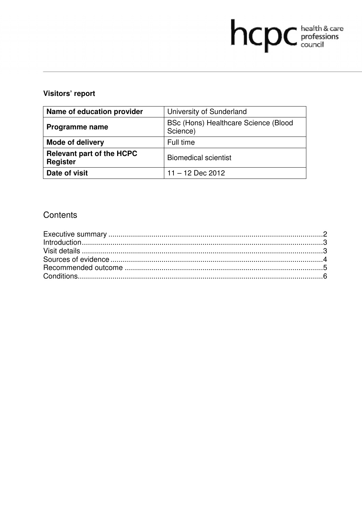# hcpc health & care

# **Visitors' report**

| Name of education provider                          | University of Sunderland                         |
|-----------------------------------------------------|--------------------------------------------------|
| Programme name                                      | BSc (Hons) Healthcare Science (Blood<br>Science) |
| Mode of delivery                                    | Full time                                        |
| <b>Relevant part of the HCPC</b><br><b>Register</b> | <b>Biomedical scientist</b>                      |
| Date of visit                                       | $11 - 12$ Dec 2012                               |

# **Contents**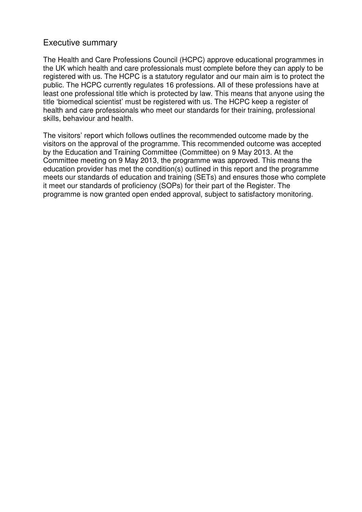## Executive summary

The Health and Care Professions Council (HCPC) approve educational programmes in the UK which health and care professionals must complete before they can apply to be registered with us. The HCPC is a statutory regulator and our main aim is to protect the public. The HCPC currently regulates 16 professions. All of these professions have at least one professional title which is protected by law. This means that anyone using the title 'biomedical scientist' must be registered with us. The HCPC keep a register of health and care professionals who meet our standards for their training, professional skills, behaviour and health.

The visitors' report which follows outlines the recommended outcome made by the visitors on the approval of the programme. This recommended outcome was accepted by the Education and Training Committee (Committee) on 9 May 2013. At the Committee meeting on 9 May 2013, the programme was approved. This means the education provider has met the condition(s) outlined in this report and the programme meets our standards of education and training (SETs) and ensures those who complete it meet our standards of proficiency (SOPs) for their part of the Register. The programme is now granted open ended approval, subject to satisfactory monitoring.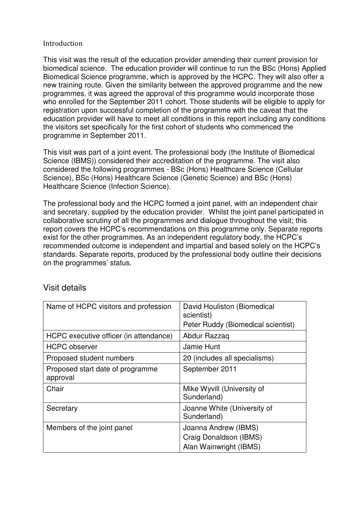#### Introduction

This visit was the result of the education provider amending their current provision for biomedical science. The education provider will continue to run the BSc (Hons) Applied Biomedical Science programme, which is approved by the HCPC. They will also offer a new training route. Given the similarity between the approved programme and the new programmes, it was agreed the approval of this programme would incorporate those who enrolled for the September 2011 cohort. Those students will be eligible to apply for registration upon successful completion of the programme with the caveat that the education provider will have to meet all conditions in this report including any conditions the visitors set specifically for the first cohort of students who commenced the programme in September 2011.

This visit was part of a joint event. The professional body (the Institute of Biomedical Science (IBMS)) considered their accreditation of the programme. The visit also considered the following programmes - BSc (Hons) Healthcare Science (Cellular Science), BSc (Hons) Healthcare Science (Genetic Science) and BSc (Hons) Healthcare Science (Infection Science).

The professional body and the HCPC formed a joint panel, with an independent chair and secretary, supplied by the education provider. Whilst the joint panel participated in collaborative scrutiny of all the programmes and dialogue throughout the visit; this report covers the HCPC's recommendations on this programme only. Separate reports exist for the other programmes. As an independent regulatory body, the HCPC's recommended outcome is independent and impartial and based solely on the HCPC's standards. Separate reports, produced by the professional body outline their decisions on the programmes' status.

| Name of HCPC visitors and profession         | David Houliston (Biomedical<br>scientist)<br>Peter Ruddy (Biomedical scientist) |
|----------------------------------------------|---------------------------------------------------------------------------------|
| HCPC executive officer (in attendance)       | Abdur Razzaq                                                                    |
| <b>HCPC</b> observer                         | Jamie Hunt                                                                      |
| Proposed student numbers                     | 20 (includes all specialisms)                                                   |
| Proposed start date of programme<br>approval | September 2011                                                                  |
| Chair                                        | Mike Wyvill (University of<br>Sunderland)                                       |
| Secretary                                    | Joanne White (University of<br>Sunderland)                                      |
| Members of the joint panel                   | Joanna Andrew (IBMS)<br>Craig Donaldson (IBMS)<br>Alan Wainwright (IBMS)        |

# Visit details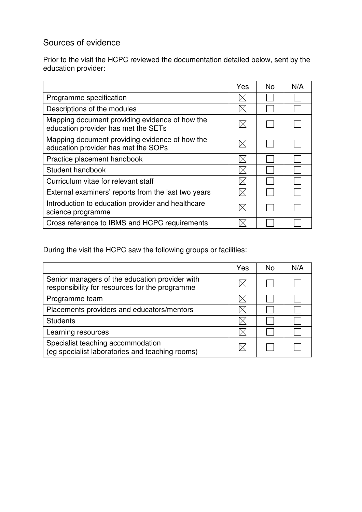# Sources of evidence

Prior to the visit the HCPC reviewed the documentation detailed below, sent by the education provider:

|                                                                                       | Yes | <b>No</b> | N/A |
|---------------------------------------------------------------------------------------|-----|-----------|-----|
| Programme specification                                                               |     |           |     |
| Descriptions of the modules                                                           |     |           |     |
| Mapping document providing evidence of how the<br>education provider has met the SETs |     |           |     |
| Mapping document providing evidence of how the<br>education provider has met the SOPs |     |           |     |
| Practice placement handbook                                                           |     |           |     |
| Student handbook                                                                      |     |           |     |
| Curriculum vitae for relevant staff                                                   |     |           |     |
| External examiners' reports from the last two years                                   |     |           |     |
| Introduction to education provider and healthcare<br>science programme                |     |           |     |
| Cross reference to IBMS and HCPC requirements                                         |     |           |     |

During the visit the HCPC saw the following groups or facilities:

|                                                                                                  | Yes | N <sub>o</sub> | N/A |
|--------------------------------------------------------------------------------------------------|-----|----------------|-----|
| Senior managers of the education provider with<br>responsibility for resources for the programme |     |                |     |
| Programme team                                                                                   |     |                |     |
| Placements providers and educators/mentors                                                       |     |                |     |
| <b>Students</b>                                                                                  |     |                |     |
| Learning resources                                                                               |     |                |     |
| Specialist teaching accommodation<br>(eg specialist laboratories and teaching rooms)             |     |                |     |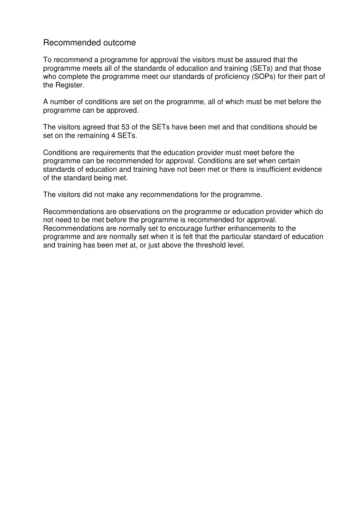## Recommended outcome

To recommend a programme for approval the visitors must be assured that the programme meets all of the standards of education and training (SETs) and that those who complete the programme meet our standards of proficiency (SOPs) for their part of the Register.

A number of conditions are set on the programme, all of which must be met before the programme can be approved.

The visitors agreed that 53 of the SETs have been met and that conditions should be set on the remaining 4 SETs.

Conditions are requirements that the education provider must meet before the programme can be recommended for approval. Conditions are set when certain standards of education and training have not been met or there is insufficient evidence of the standard being met.

The visitors did not make any recommendations for the programme.

Recommendations are observations on the programme or education provider which do not need to be met before the programme is recommended for approval. Recommendations are normally set to encourage further enhancements to the programme and are normally set when it is felt that the particular standard of education and training has been met at, or just above the threshold level.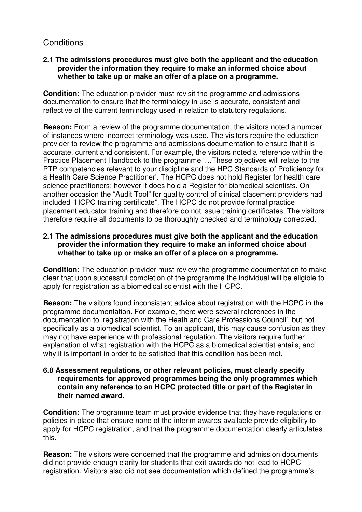# **Conditions**

### **2.1 The admissions procedures must give both the applicant and the education provider the information they require to make an informed choice about whether to take up or make an offer of a place on a programme.**

**Condition:** The education provider must revisit the programme and admissions documentation to ensure that the terminology in use is accurate, consistent and reflective of the current terminology used in relation to statutory regulations.

**Reason:** From a review of the programme documentation, the visitors noted a number of instances where incorrect terminology was used. The visitors require the education provider to review the programme and admissions documentation to ensure that it is accurate, current and consistent. For example, the visitors noted a reference within the Practice Placement Handbook to the programme '…These objectives will relate to the PTP competencies relevant to your discipline and the HPC Standards of Proficiency for a Health Care Science Practitioner'. The HCPC does not hold Register for health care science practitioners; however it does hold a Register for biomedical scientists. On another occasion the "Audit Tool" for quality control of clinical placement providers had included "HCPC training certificate". The HCPC do not provide formal practice placement educator training and therefore do not issue training certificates. The visitors therefore require all documents to be thoroughly checked and terminology corrected.

#### **2.1 The admissions procedures must give both the applicant and the education provider the information they require to make an informed choice about whether to take up or make an offer of a place on a programme.**

**Condition:** The education provider must review the programme documentation to make clear that upon successful completion of the programme the individual will be eligible to apply for registration as a biomedical scientist with the HCPC.

**Reason:** The visitors found inconsistent advice about registration with the HCPC in the programme documentation. For example, there were several references in the documentation to 'registration with the Heath and Care Professions Council', but not specifically as a biomedical scientist. To an applicant, this may cause confusion as they may not have experience with professional regulation. The visitors require further explanation of what registration with the HCPC as a biomedical scientist entails, and why it is important in order to be satisfied that this condition has been met.

#### **6.8 Assessment regulations, or other relevant policies, must clearly specify requirements for approved programmes being the only programmes which contain any reference to an HCPC protected title or part of the Register in their named award.**

**Condition:** The programme team must provide evidence that they have regulations or policies in place that ensure none of the interim awards available provide eligibility to apply for HCPC registration, and that the programme documentation clearly articulates this.

**Reason:** The visitors were concerned that the programme and admission documents did not provide enough clarity for students that exit awards do not lead to HCPC registration. Visitors also did not see documentation which defined the programme's